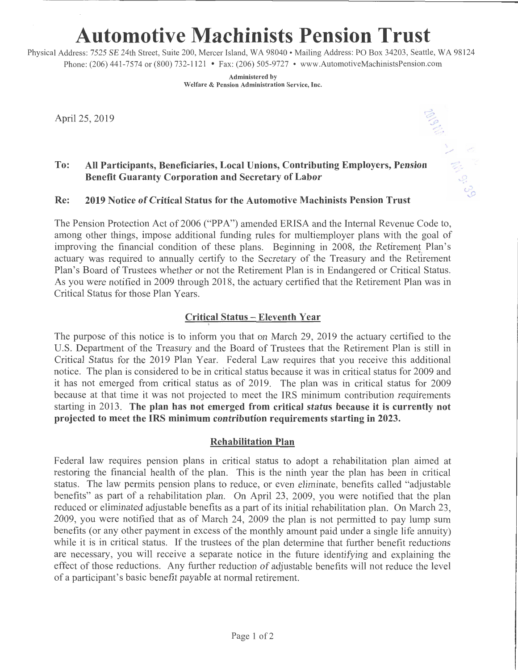## **Automotive Machinists Pension Trust**

Physical Address: 7525 SE 24th Street, Suite 200, Mercer Island, WA 98040 • Mailing Address: PO Box 34203, Seattle, WA 98124 Phone: (206) 441-7574 or (800) 732-1121 • Fax: (206) 505-9727 • www.AutomotiveMachinistsPension.com

> **Administered by Welfare** & **Pension Administration Service, Inc.**

April 25, 2019

# **To: All Participants, Beneficiaries, Local Unions, Contributing Employers, Pension Benefit Guaranty Corporation and Secretary of Labor Page 11 Marshall River Co. Co. Co. Co. Co.**

#### **Re: 2019 Notice of Critical Status for the Automotive Machinists Pension Trust**

The Pension Protection Act of 2006 ("PPA") amended ERISA and the Internal Revenue Code to, among other things, impose additional funding rules for multiemployer plans with the goal of improving the financial condition of these plans. Beginning in 2008, the Retirement Plan's actuary was required to annually certify to the Secretary of the Treasury and the Retirement Plan's Board of Trustees whether or not the Retirement Plan is in Endangered or Critical Status. As you were notified in 2009 through 2018, the actuary certified that the Retirement Plan was in Critical Status for those Plan Years.

### **Critical Status - Eleventh Year**

,,

The purpose of this notice is to inform you that on March 29, 2019 the actuary certified to the U.S. Department of the Treasury and the Board of Trustees that the Retirement Plan is still in Critical Status for the 2019 Plan Year. Federal Law requires that you receive this additional notice. The plan is considered to be in critical status because it was in critical status for 2009 and it has not emerged from critical status as of 2019. The plan was in critical status for 2009 because at that time it was not projected to meet the IRS minimum contribution requirements starting in 2013. **The plan has not emerged from critical status because it is currently not projected to meet the IRS minimum contribution requirements starting in 2023.** 

#### **Rehabilitation Plan**

Federal law requires pension plans in critical status to adopt a rehabilitation plan aimed at restoring the financial health of the plan. This is the ninth year the plan has been in critical status. The law permits pension plans to reduce, or even eliminate, benefits called "adjustable benefits" as part of a rehabilitation plan. On April 23, 2009, you were notified that the plan reduced or eliminated adjustable benefits as a part of its initial rehabilitation plan. On March 23, 2009, you were notified that as of March 24, 2009 the plan is not permitted to pay lump sum benefits (or any other payment in excess of the monthly amount paid under a single life annuity) while it is in critical status. If the trustees of the plan determine that further benefit reductions are necessary, you will receive a separate notice in the future identifying and explaining the effect of those reductions. Any further reduction of adjustable benefits will not reduce the level of a participant's basic benefit payable at normal retirement.